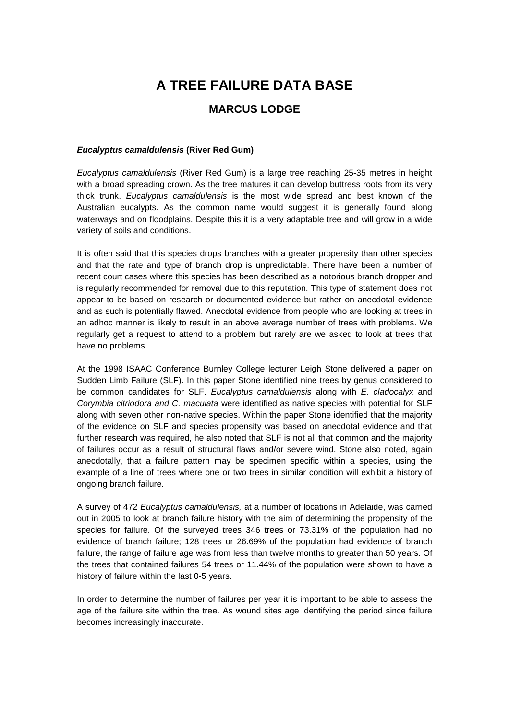# **A TREE FAILURE DATA BASE**

# **MARCUS LODGE**

#### **Eucalyptus camaldulensis (River Red Gum)**

Eucalyptus camaldulensis (River Red Gum) is a large tree reaching 25-35 metres in height with a broad spreading crown. As the tree matures it can develop buttress roots from its very thick trunk. Eucalyptus camaldulensis is the most wide spread and best known of the Australian eucalypts. As the common name would suggest it is generally found along waterways and on floodplains. Despite this it is a very adaptable tree and will grow in a wide variety of soils and conditions.

It is often said that this species drops branches with a greater propensity than other species and that the rate and type of branch drop is unpredictable. There have been a number of recent court cases where this species has been described as a notorious branch dropper and is regularly recommended for removal due to this reputation. This type of statement does not appear to be based on research or documented evidence but rather on anecdotal evidence and as such is potentially flawed. Anecdotal evidence from people who are looking at trees in an adhoc manner is likely to result in an above average number of trees with problems. We regularly get a request to attend to a problem but rarely are we asked to look at trees that have no problems.

At the 1998 ISAAC Conference Burnley College lecturer Leigh Stone delivered a paper on Sudden Limb Failure (SLF). In this paper Stone identified nine trees by genus considered to be common candidates for SLF. Eucalyptus camaldulensis along with E. cladocalyx and Corymbia citriodora and C. maculata were identified as native species with potential for SLF along with seven other non-native species. Within the paper Stone identified that the majority of the evidence on SLF and species propensity was based on anecdotal evidence and that further research was required, he also noted that SLF is not all that common and the majority of failures occur as a result of structural flaws and/or severe wind. Stone also noted, again anecdotally, that a failure pattern may be specimen specific within a species, using the example of a line of trees where one or two trees in similar condition will exhibit a history of ongoing branch failure.

A survey of 472 Eucalyptus camaldulensis, at a number of locations in Adelaide, was carried out in 2005 to look at branch failure history with the aim of determining the propensity of the species for failure. Of the surveyed trees 346 trees or 73.31% of the population had no evidence of branch failure; 128 trees or 26.69% of the population had evidence of branch failure, the range of failure age was from less than twelve months to greater than 50 years. Of the trees that contained failures 54 trees or 11.44% of the population were shown to have a history of failure within the last 0-5 years.

In order to determine the number of failures per year it is important to be able to assess the age of the failure site within the tree. As wound sites age identifying the period since failure becomes increasingly inaccurate.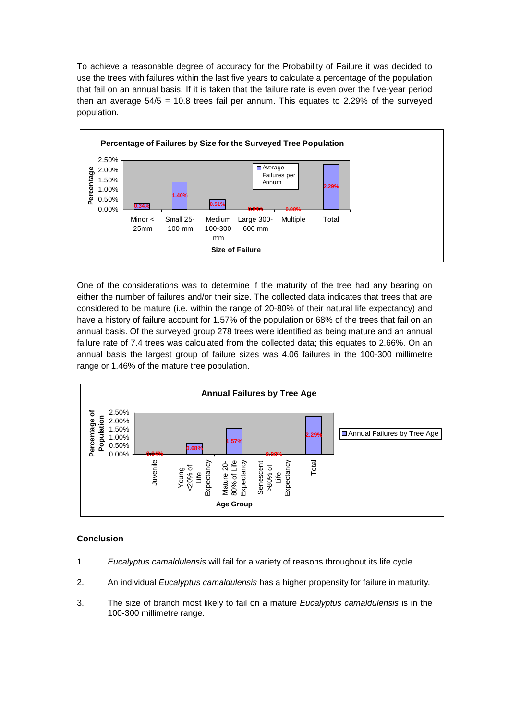To achieve a reasonable degree of accuracy for the Probability of Failure it was decided to use the trees with failures within the last five years to calculate a percentage of the population that fail on an annual basis. If it is taken that the failure rate is even over the five-year period then an average  $54/5 = 10.8$  trees fail per annum. This equates to 2.29% of the surveyed population.



One of the considerations was to determine if the maturity of the tree had any bearing on either the number of failures and/or their size. The collected data indicates that trees that are considered to be mature (i.e. within the range of 20-80% of their natural life expectancy) and have a history of failure account for 1.57% of the population or 68% of the trees that fail on an annual basis. Of the surveyed group 278 trees were identified as being mature and an annual failure rate of 7.4 trees was calculated from the collected data; this equates to 2.66%. On an annual basis the largest group of failure sizes was 4.06 failures in the 100-300 millimetre range or 1.46% of the mature tree population.



## **Conclusion**

- 1. Eucalyptus camaldulensis will fail for a variety of reasons throughout its life cycle.
- 2. An individual *Eucalyptus camaldulensis* has a higher propensity for failure in maturity.
- 3. The size of branch most likely to fail on a mature Eucalyptus camaldulensis is in the 100-300 millimetre range.